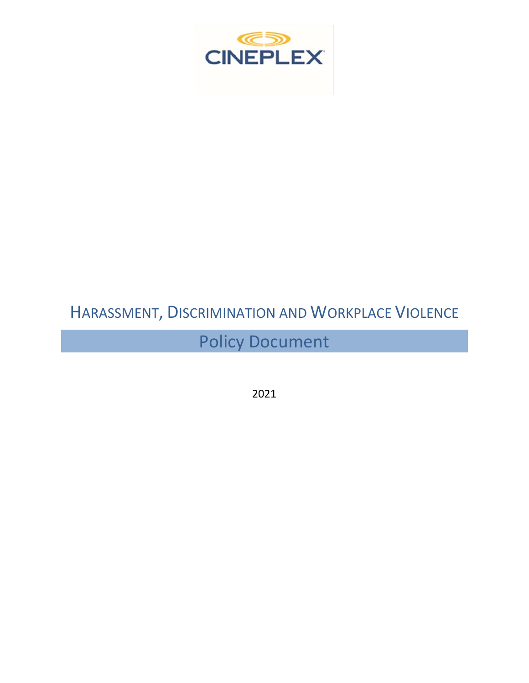

Policy Document

2021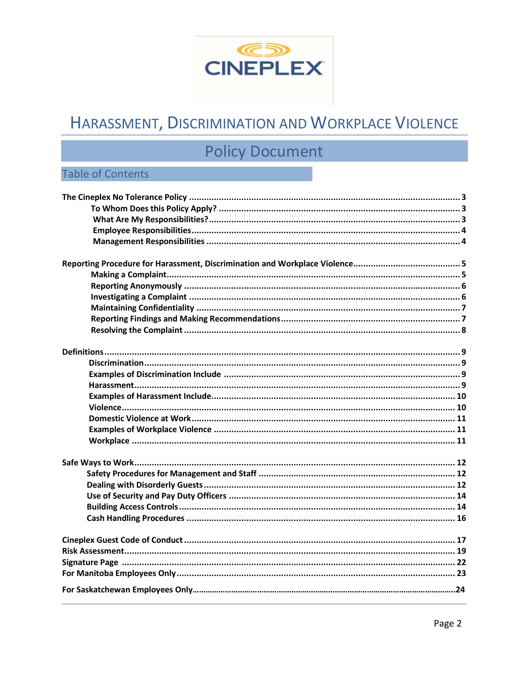

# **Policy Document**

### **Table of Contents**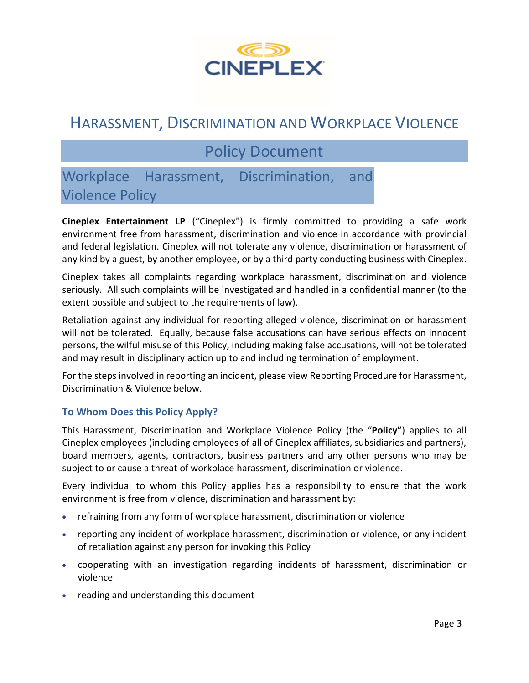

## Policy Document

### Workplace Harassment, Discrimination, and Violence Policy

**Cineplex Entertainment LP** ("Cineplex") is firmly committed to providing a safe work environment free from harassment, discrimination and violence in accordance with provincial and federal legislation. Cineplex will not tolerate any violence, discrimination or harassment of any kind by a guest, by another employee, or by a third party conducting business with Cineplex.

Cineplex takes all complaints regarding workplace harassment, discrimination and violence seriously. All such complaints will be investigated and handled in a confidential manner (to the extent possible and subject to the requirements of law).

Retaliation against any individual for reporting alleged violence, discrimination or harassment will not be tolerated. Equally, because false accusations can have serious effects on innocent persons, the wilful misuse of this Policy, including making false accusations, will not be tolerated and may result in disciplinary action up to and including termination of employment.

For the steps involved in reporting an incident, please view Reporting Procedure for Harassment, Discrimination & Violence below.

#### **To Whom Does this Policy Apply?**

This Harassment, Discrimination and Workplace Violence Policy (the "**Policy"**) applies to all Cineplex employees (including employees of all of Cineplex affiliates, subsidiaries and partners), board members, agents, contractors, business partners and any other persons who may be subject to or cause a threat of workplace harassment, discrimination or violence.

Every individual to whom this Policy applies has a responsibility to ensure that the work environment is free from violence, discrimination and harassment by:

- refraining from any form of workplace harassment, discrimination or violence
- reporting any incident of workplace harassment, discrimination or violence, or any incident of retaliation against any person for invoking this Policy
- cooperating with an investigation regarding incidents of harassment, discrimination or violence
- reading and understanding this document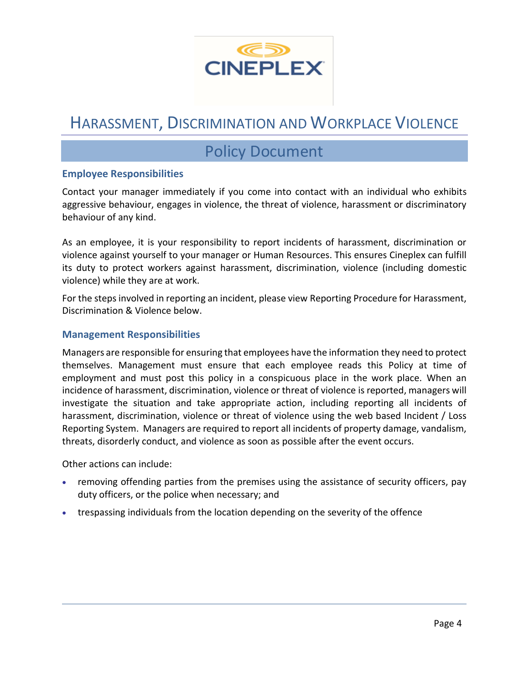

### Policy Document

#### **Employee Responsibilities**

Contact your manager immediately if you come into contact with an individual who exhibits aggressive behaviour, engages in violence, the threat of violence, harassment or discriminatory behaviour of any kind.

As an employee, it is your responsibility to report incidents of harassment, discrimination or violence against yourself to your manager or Human Resources. This ensures Cineplex can fulfill its duty to protect workers against harassment, discrimination, violence (including domestic violence) while they are at work.

For the steps involved in reporting an incident, please view Reporting Procedure for Harassment, Discrimination & Violence below.

#### **Management Responsibilities**

Managers are responsible for ensuring that employees have the information they need to protect themselves. Management must ensure that each employee reads this Policy at time of employment and must post this policy in a conspicuous place in the work place. When an incidence of harassment, discrimination, violence or threat of violence is reported, managers will investigate the situation and take appropriate action, including reporting all incidents of harassment, discrimination, violence or threat of violence using the web based Incident / Loss Reporting System. Managers are required to report all incidents of property damage, vandalism, threats, disorderly conduct, and violence as soon as possible after the event occurs.

Other actions can include:

- removing offending parties from the premises using the assistance of security officers, pay duty officers, or the police when necessary; and
- trespassing individuals from the location depending on the severity of the offence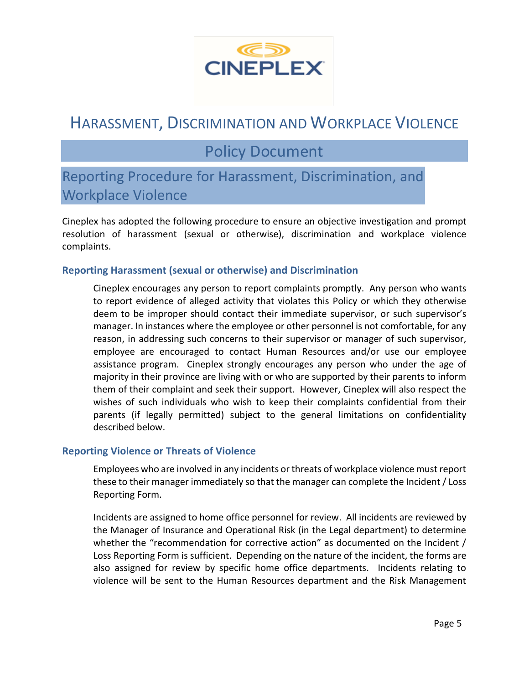

## Policy Document

### Reporting Procedure for Harassment, Discrimination, and Workplace Violence

Cineplex has adopted the following procedure to ensure an objective investigation and prompt resolution of harassment (sexual or otherwise), discrimination and workplace violence complaints.

#### **Reporting Harassment (sexual or otherwise) and Discrimination**

Cineplex encourages any person to report complaints promptly. Any person who wants to report evidence of alleged activity that violates this Policy or which they otherwise deem to be improper should contact their immediate supervisor, or such supervisor's manager. In instances where the employee or other personnel is not comfortable, for any reason, in addressing such concerns to their supervisor or manager of such supervisor, employee are encouraged to contact Human Resources and/or use our employee assistance program. Cineplex strongly encourages any person who under the age of majority in their province are living with or who are supported by their parents to inform them of their complaint and seek their support. However, Cineplex will also respect the wishes of such individuals who wish to keep their complaints confidential from their parents (if legally permitted) subject to the general limitations on confidentiality described below.

#### **Reporting Violence or Threats of Violence**

Employees who are involved in any incidents or threats of workplace violence must report these to their manager immediately so that the manager can complete the Incident / Loss Reporting Form.

Incidents are assigned to home office personnel for review. All incidents are reviewed by the Manager of Insurance and Operational Risk (in the Legal department) to determine whether the "recommendation for corrective action" as documented on the Incident / Loss Reporting Form is sufficient. Depending on the nature of the incident, the forms are also assigned for review by specific home office departments. Incidents relating to violence will be sent to the Human Resources department and the Risk Management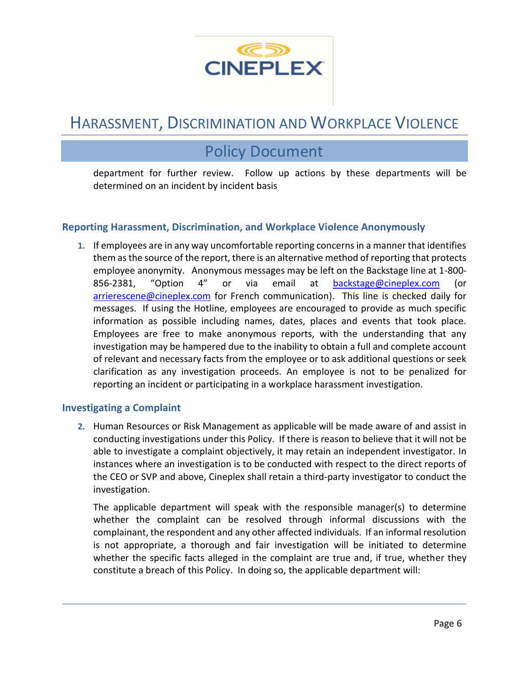

### Policy Document

department for further review. Follow up actions by these departments will be determined on an incident by incident basis

#### **Reporting Harassment, Discrimination, and Workplace Violence Anonymously**

**1.** If employees are in any way uncomfortable reporting concerns in a manner that identifies them as the source of the report, there is an alternative method of reporting that protects employee anonymity. Anonymous messages may be left on the Backstage line at 1-800- 856-2381, "Option 4" or via email at [backstage@cineplex.com](mailto:backstage@cineplex.com) (or [arrierescene@cineplex.com](mailto:arrierescene@cineplex.com) for French communication). This line is checked daily for messages. If using the Hotline, employees are encouraged to provide as much specific information as possible including names, dates, places and events that took place. Employees are free to make anonymous reports, with the understanding that any investigation may be hampered due to the inability to obtain a full and complete account of relevant and necessary facts from the employee or to ask additional questions or seek clarification as any investigation proceeds. An employee is not to be penalized for reporting an incident or participating in a workplace harassment investigation.

#### **Investigating a Complaint**

**2.** Human Resources or Risk Management as applicable will be made aware of and assist in conducting investigations under this Policy. If there is reason to believe that it will not be able to investigate a complaint objectively, it may retain an independent investigator. In instances where an investigation is to be conducted with respect to the direct reports of the CEO or SVP and above, Cineplex shall retain a third-party investigator to conduct the investigation.

The applicable department will speak with the responsible manager(s) to determine whether the complaint can be resolved through informal discussions with the complainant, the respondent and any other affected individuals. If an informal resolution is not appropriate, a thorough and fair investigation will be initiated to determine whether the specific facts alleged in the complaint are true and, if true, whether they constitute a breach of this Policy. In doing so, the applicable department will: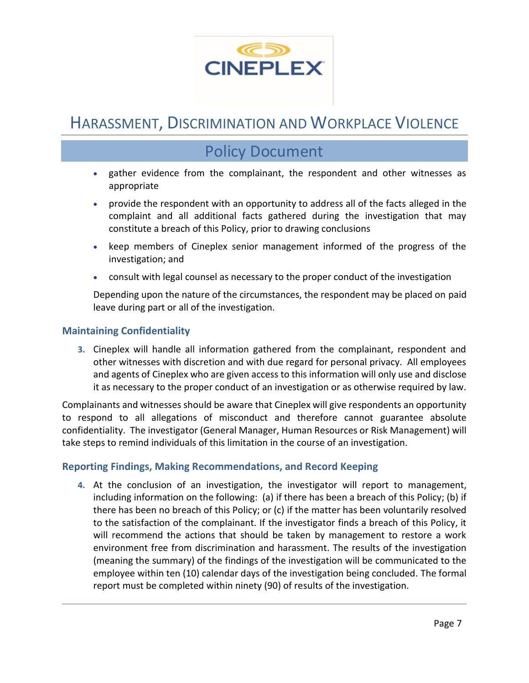

### Policy Document

- gather evidence from the complainant, the respondent and other witnesses as appropriate
- provide the respondent with an opportunity to address all of the facts alleged in the complaint and all additional facts gathered during the investigation that may constitute a breach of this Policy, prior to drawing conclusions
- keep members of Cineplex senior management informed of the progress of the investigation; and
- consult with legal counsel as necessary to the proper conduct of the investigation

Depending upon the nature of the circumstances, the respondent may be placed on paid leave during part or all of the investigation.

#### **Maintaining Confidentiality**

**3.** Cineplex will handle all information gathered from the complainant, respondent and other witnesses with discretion and with due regard for personal privacy. All employees and agents of Cineplex who are given access to this information will only use and disclose it as necessary to the proper conduct of an investigation or as otherwise required by law.

Complainants and witnesses should be aware that Cineplex will give respondents an opportunity to respond to all allegations of misconduct and therefore cannot guarantee absolute confidentiality. The investigator (General Manager, Human Resources or Risk Management) will take steps to remind individuals of this limitation in the course of an investigation.

#### **Reporting Findings, Making Recommendations, and Record Keeping**

**4.** At the conclusion of an investigation, the investigator will report to management, including information on the following: (a) if there has been a breach of this Policy; (b) if there has been no breach of this Policy; or (c) if the matter has been voluntarily resolved to the satisfaction of the complainant. If the investigator finds a breach of this Policy, it will recommend the actions that should be taken by management to restore a work environment free from discrimination and harassment. The results of the investigation (meaning the summary) of the findings of the investigation will be communicated to the employee within ten (10) calendar days of the investigation being concluded. The formal report must be completed within ninety (90) of results of the investigation.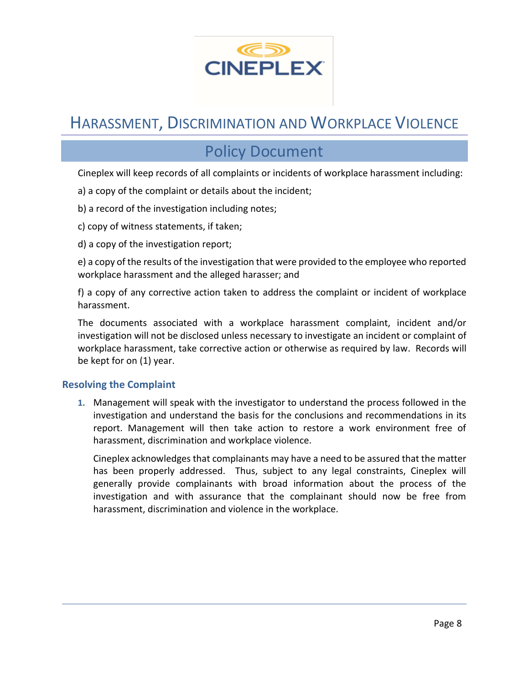

### Policy Document

Cineplex will keep records of all complaints or incidents of workplace harassment including:

- a) a copy of the complaint or details about the incident;
- b) a record of the investigation including notes;
- c) copy of witness statements, if taken;
- d) a copy of the investigation report;

e) a copy of the results of the investigation that were provided to the employee who reported workplace harassment and the alleged harasser; and

f) a copy of any corrective action taken to address the complaint or incident of workplace harassment.

The documents associated with a workplace harassment complaint, incident and/or investigation will not be disclosed unless necessary to investigate an incident or complaint of workplace harassment, take corrective action or otherwise as required by law. Records will be kept for on (1) year.

#### **Resolving the Complaint**

**1.** Management will speak with the investigator to understand the process followed in the investigation and understand the basis for the conclusions and recommendations in its report. Management will then take action to restore a work environment free of harassment, discrimination and workplace violence.

Cineplex acknowledges that complainants may have a need to be assured that the matter has been properly addressed. Thus, subject to any legal constraints, Cineplex will generally provide complainants with broad information about the process of the investigation and with assurance that the complainant should now be free from harassment, discrimination and violence in the workplace.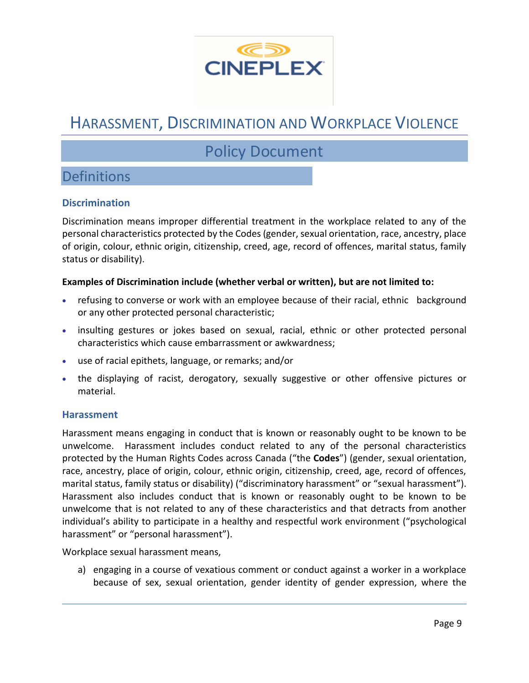

## Policy Document

### **Definitions**

#### **Discrimination**

Discrimination means improper differential treatment in the workplace related to any of the personal characteristics protected by the Codes (gender, sexual orientation, race, ancestry, place of origin, colour, ethnic origin, citizenship, creed, age, record of offences, marital status, family status or disability).

#### **Examples of Discrimination include (whether verbal or written), but are not limited to:**

- refusing to converse or work with an employee because of their racial, ethnic background or any other protected personal characteristic;
- insulting gestures or jokes based on sexual, racial, ethnic or other protected personal characteristics which cause embarrassment or awkwardness;
- use of racial epithets, language, or remarks; and/or
- the displaying of racist, derogatory, sexually suggestive or other offensive pictures or material.

#### **Harassment**

Harassment means engaging in conduct that is known or reasonably ought to be known to be unwelcome. Harassment includes conduct related to any of the personal characteristics protected by the Human Rights Codes across Canada ("the **Codes**") (gender, sexual orientation, race, ancestry, place of origin, colour, ethnic origin, citizenship, creed, age, record of offences, marital status, family status or disability) ("discriminatory harassment" or "sexual harassment"). Harassment also includes conduct that is known or reasonably ought to be known to be unwelcome that is not related to any of these characteristics and that detracts from another individual's ability to participate in a healthy and respectful work environment ("psychological harassment" or "personal harassment").

Workplace sexual harassment means,

a) engaging in a course of vexatious comment or conduct against a worker in a workplace because of sex, sexual orientation, gender identity of gender expression, where the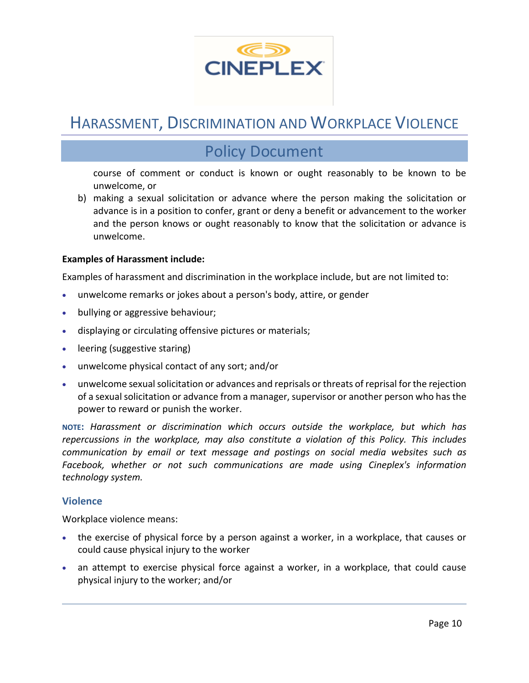

### Policy Document

course of comment or conduct is known or ought reasonably to be known to be unwelcome, or

b) making a sexual solicitation or advance where the person making the solicitation or advance is in a position to confer, grant or deny a benefit or advancement to the worker and the person knows or ought reasonably to know that the solicitation or advance is unwelcome.

#### **Examples of Harassment include:**

Examples of harassment and discrimination in the workplace include, but are not limited to:

- unwelcome remarks or jokes about a person's body, attire, or gender
- bullying or aggressive behaviour;
- displaying or circulating offensive pictures or materials;
- leering (suggestive staring)
- unwelcome physical contact of any sort; and/or
- unwelcome sexual solicitation or advances and reprisals or threats of reprisal for the rejection of a sexual solicitation or advance from a manager, supervisor or another person who has the power to reward or punish the worker.

**NOTE:** *Harassment or discrimination which occurs outside the workplace, but which has repercussions in the workplace, may also constitute a violation of this Policy. This includes communication by email or text message and postings on social media websites such as Facebook, whether or not such communications are made using Cineplex's information technology system.*

#### **Violence**

Workplace violence means:

- the exercise of physical force by a person against a worker, in a workplace, that causes or could cause physical injury to the worker
- an attempt to exercise physical force against a worker, in a workplace, that could cause physical injury to the worker; and/or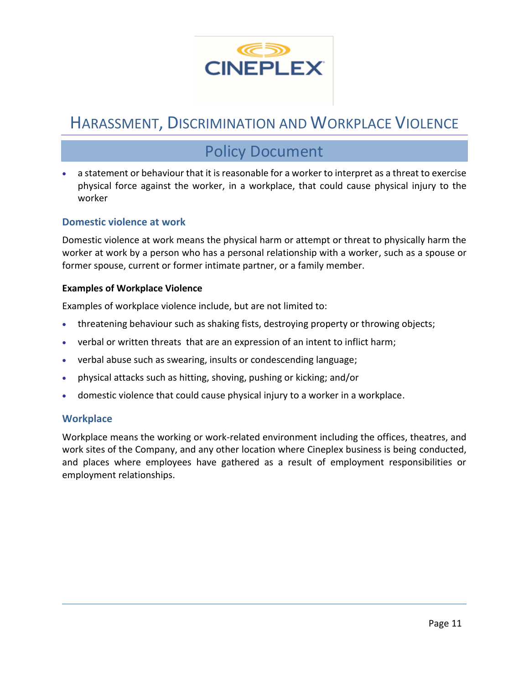

### Policy Document

• a statement or behaviour that it is reasonable for a worker to interpret as a threat to exercise physical force against the worker, in a workplace, that could cause physical injury to the worker

#### **Domestic violence at work**

Domestic violence at work means the physical harm or attempt or threat to physically harm the worker at work by a person who has a personal relationship with a worker, such as a spouse or former spouse, current or former intimate partner, or a family member.

#### **Examples of Workplace Violence**

Examples of workplace violence include, but are not limited to:

- threatening behaviour such as shaking fists, destroying property or throwing objects;
- verbal or written threats that are an expression of an intent to inflict harm;
- verbal abuse such as swearing, insults or condescending language;
- physical attacks such as hitting, shoving, pushing or kicking; and/or
- domestic violence that could cause physical injury to a worker in a workplace.

#### **Workplace**

Workplace means the working or work-related environment including the offices, theatres, and work sites of the Company, and any other location where Cineplex business is being conducted, and places where employees have gathered as a result of employment responsibilities or employment relationships.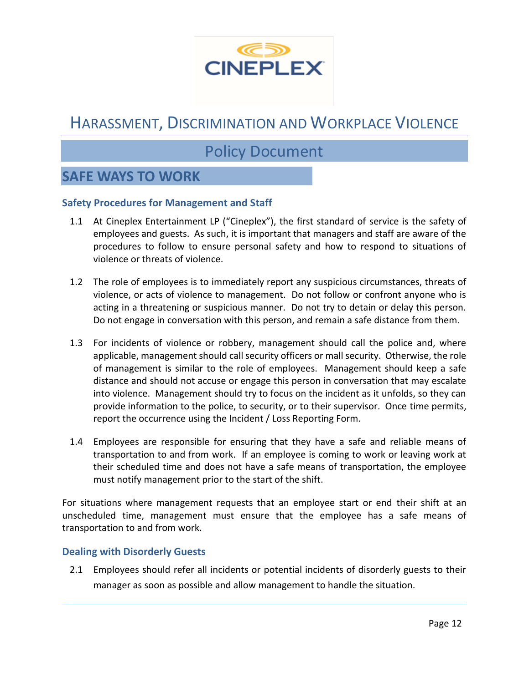

### Policy Document

### **SAFE WAYS TO WORK**

#### **Safety Procedures for Management and Staff**

- 1.1 At Cineplex Entertainment LP ("Cineplex"), the first standard of service is the safety of employees and guests. As such, it is important that managers and staff are aware of the procedures to follow to ensure personal safety and how to respond to situations of violence or threats of violence.
- 1.2 The role of employees is to immediately report any suspicious circumstances, threats of violence, or acts of violence to management. Do not follow or confront anyone who is acting in a threatening or suspicious manner. Do not try to detain or delay this person. Do not engage in conversation with this person, and remain a safe distance from them.
- 1.3 For incidents of violence or robbery, management should call the police and, where applicable, management should call security officers or mall security. Otherwise, the role of management is similar to the role of employees. Management should keep a safe distance and should not accuse or engage this person in conversation that may escalate into violence. Management should try to focus on the incident as it unfolds, so they can provide information to the police, to security, or to their supervisor. Once time permits, report the occurrence using the Incident / Loss Reporting Form.
- 1.4 Employees are responsible for ensuring that they have a safe and reliable means of transportation to and from work. If an employee is coming to work or leaving work at their scheduled time and does not have a safe means of transportation, the employee must notify management prior to the start of the shift.

For situations where management requests that an employee start or end their shift at an unscheduled time, management must ensure that the employee has a safe means of transportation to and from work.

#### **Dealing with Disorderly Guests**

2.1 Employees should refer all incidents or potential incidents of disorderly guests to their manager as soon as possible and allow management to handle the situation.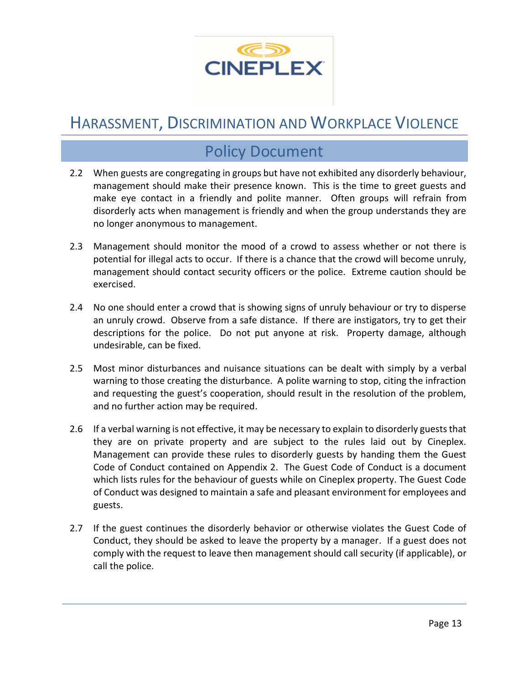

### Policy Document

- 2.2 When guests are congregating in groups but have not exhibited any disorderly behaviour, management should make their presence known. This is the time to greet guests and make eye contact in a friendly and polite manner. Often groups will refrain from disorderly acts when management is friendly and when the group understands they are no longer anonymous to management.
- 2.3 Management should monitor the mood of a crowd to assess whether or not there is potential for illegal acts to occur. If there is a chance that the crowd will become unruly, management should contact security officers or the police. Extreme caution should be exercised.
- 2.4 No one should enter a crowd that is showing signs of unruly behaviour or try to disperse an unruly crowd. Observe from a safe distance. If there are instigators, try to get their descriptions for the police. Do not put anyone at risk. Property damage, although undesirable, can be fixed.
- 2.5 Most minor disturbances and nuisance situations can be dealt with simply by a verbal warning to those creating the disturbance. A polite warning to stop, citing the infraction and requesting the guest's cooperation, should result in the resolution of the problem, and no further action may be required.
- 2.6 If a verbal warning is not effective, it may be necessary to explain to disorderly guests that they are on private property and are subject to the rules laid out by Cineplex. Management can provide these rules to disorderly guests by handing them the Guest Code of Conduct contained on Appendix 2. The Guest Code of Conduct is a document which lists rules for the behaviour of guests while on Cineplex property. The Guest Code of Conduct was designed to maintain a safe and pleasant environment for employees and guests.
- 2.7 If the guest continues the disorderly behavior or otherwise violates the Guest Code of Conduct, they should be asked to leave the property by a manager. If a guest does not comply with the request to leave then management should call security (if applicable), or call the police.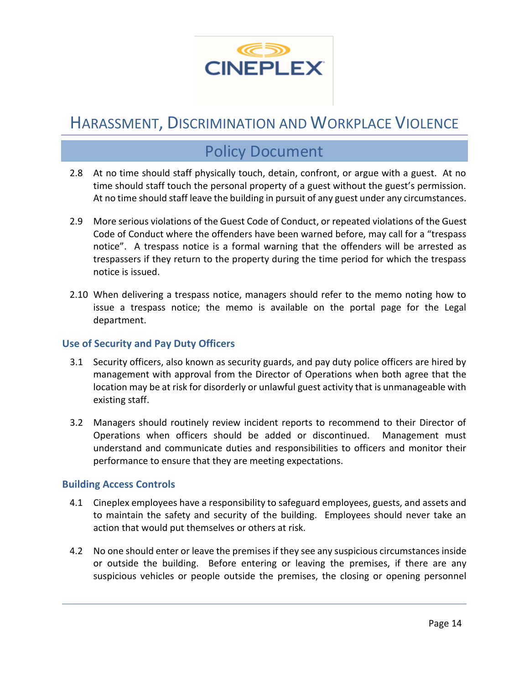

### Policy Document

- 2.8 At no time should staff physically touch, detain, confront, or argue with a guest. At no time should staff touch the personal property of a guest without the guest's permission. At no time should staff leave the building in pursuit of any guest under any circumstances.
- 2.9 More serious violations of the Guest Code of Conduct, or repeated violations of the Guest Code of Conduct where the offenders have been warned before, may call for a "trespass notice". A trespass notice is a formal warning that the offenders will be arrested as trespassers if they return to the property during the time period for which the trespass notice is issued.
- 2.10 When delivering a trespass notice, managers should refer to the memo noting how to issue a trespass notice; the memo is available on the portal page for the Legal department.

#### **Use of Security and Pay Duty Officers**

- 3.1 Security officers, also known as security guards, and pay duty police officers are hired by management with approval from the Director of Operations when both agree that the location may be at risk for disorderly or unlawful guest activity that is unmanageable with existing staff.
- 3.2 Managers should routinely review incident reports to recommend to their Director of Operations when officers should be added or discontinued. Management must understand and communicate duties and responsibilities to officers and monitor their performance to ensure that they are meeting expectations.

#### **Building Access Controls**

- 4.1 Cineplex employees have a responsibility to safeguard employees, guests, and assets and to maintain the safety and security of the building. Employees should never take an action that would put themselves or others at risk.
- 4.2 No one should enter or leave the premises if they see any suspicious circumstances inside or outside the building. Before entering or leaving the premises, if there are any suspicious vehicles or people outside the premises, the closing or opening personnel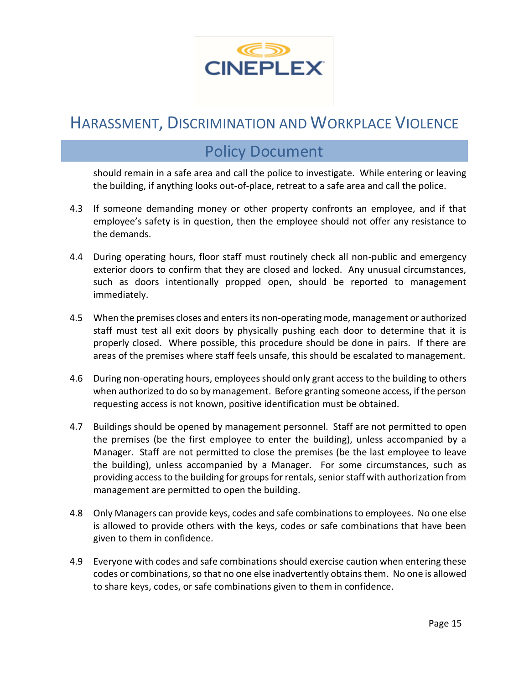

### Policy Document

should remain in a safe area and call the police to investigate. While entering or leaving the building, if anything looks out-of-place, retreat to a safe area and call the police.

- 4.3 If someone demanding money or other property confronts an employee, and if that employee's safety is in question, then the employee should not offer any resistance to the demands.
- 4.4 During operating hours, floor staff must routinely check all non-public and emergency exterior doors to confirm that they are closed and locked. Any unusual circumstances, such as doors intentionally propped open, should be reported to management immediately.
- 4.5 When the premises closes and entersits non-operating mode, management or authorized staff must test all exit doors by physically pushing each door to determine that it is properly closed. Where possible, this procedure should be done in pairs. If there are areas of the premises where staff feels unsafe, this should be escalated to management.
- 4.6 During non-operating hours, employees should only grant access to the building to others when authorized to do so by management. Before granting someone access, if the person requesting access is not known, positive identification must be obtained.
- 4.7 Buildings should be opened by management personnel. Staff are not permitted to open the premises (be the first employee to enter the building), unless accompanied by a Manager. Staff are not permitted to close the premises (be the last employee to leave the building), unless accompanied by a Manager. For some circumstances, such as providing access to the building for groups for rentals, senior staff with authorization from management are permitted to open the building.
- 4.8 Only Managers can provide keys, codes and safe combinations to employees. No one else is allowed to provide others with the keys, codes or safe combinations that have been given to them in confidence.
- 4.9 Everyone with codes and safe combinations should exercise caution when entering these codes or combinations, so that no one else inadvertently obtains them. No one is allowed to share keys, codes, or safe combinations given to them in confidence.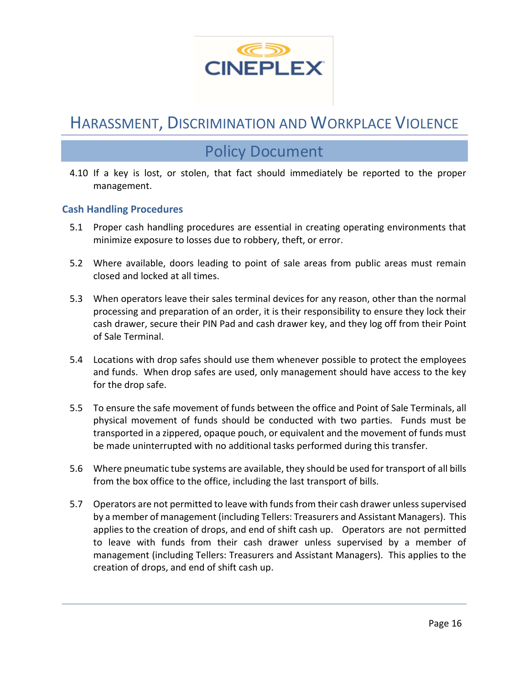

### Policy Document

4.10 If a key is lost, or stolen, that fact should immediately be reported to the proper management.

#### **Cash Handling Procedures**

- 5.1 Proper cash handling procedures are essential in creating operating environments that minimize exposure to losses due to robbery, theft, or error.
- 5.2 Where available, doors leading to point of sale areas from public areas must remain closed and locked at all times.
- 5.3 When operators leave their sales terminal devices for any reason, other than the normal processing and preparation of an order, it is their responsibility to ensure they lock their cash drawer, secure their PIN Pad and cash drawer key, and they log off from their Point of Sale Terminal.
- 5.4 Locations with drop safes should use them whenever possible to protect the employees and funds. When drop safes are used, only management should have access to the key for the drop safe.
- 5.5 To ensure the safe movement of funds between the office and Point of Sale Terminals, all physical movement of funds should be conducted with two parties. Funds must be transported in a zippered, opaque pouch, or equivalent and the movement of funds must be made uninterrupted with no additional tasks performed during this transfer.
- 5.6 Where pneumatic tube systems are available, they should be used for transport of all bills from the box office to the office, including the last transport of bills.
- 5.7 Operators are not permitted to leave with funds from their cash drawer unless supervised by a member of management (including Tellers: Treasurers and Assistant Managers). This applies to the creation of drops, and end of shift cash up. Operators are not permitted to leave with funds from their cash drawer unless supervised by a member of management (including Tellers: Treasurers and Assistant Managers). This applies to the creation of drops, and end of shift cash up.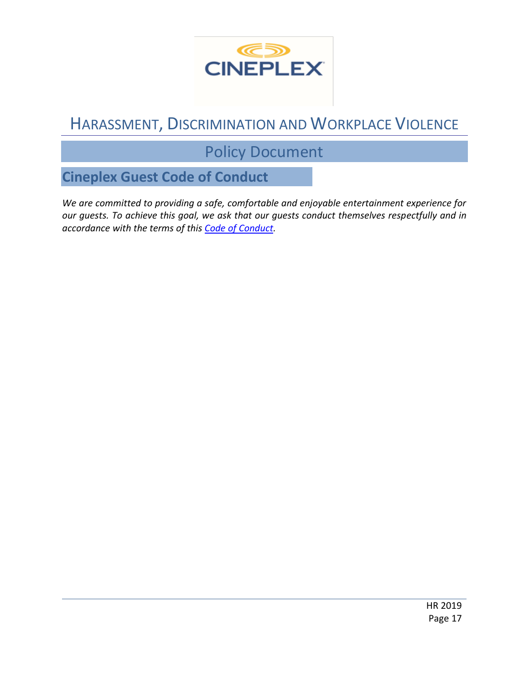

## Policy Document

**Cineplex Guest Code of Conduct**

*We are committed to providing a safe, comfortable and enjoyable entertainment experience for our guests. To achieve this goal, we ask that our guests conduct themselves respectfully and in accordance with the terms of this [Code of Conduct.](https://mediafiles.cineplex.com/Footer/en/Guest_Code_of_Conduct_-_Cineplex_November_2020_FINAL.pdf)*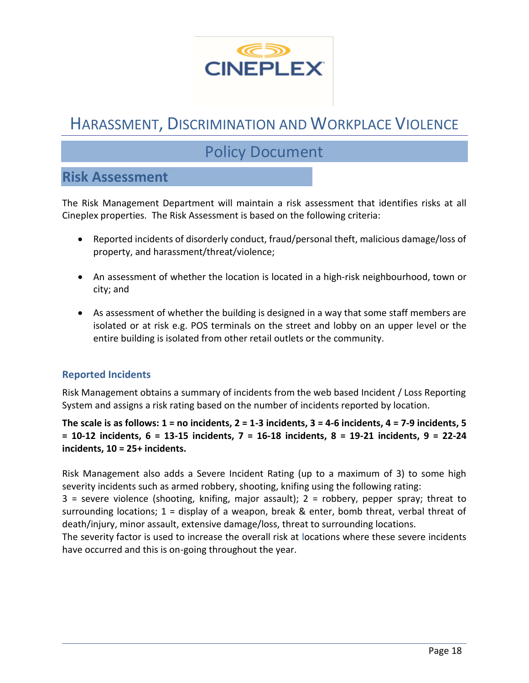

## Policy Document

### **Risk Assessment**

The Risk Management Department will maintain a risk assessment that identifies risks at all Cineplex properties. The Risk Assessment is based on the following criteria:

- Reported incidents of disorderly conduct, fraud/personal theft, malicious damage/loss of property, and harassment/threat/violence;
- An assessment of whether the location is located in a high-risk neighbourhood, town or city; and
- As assessment of whether the building is designed in a way that some staff members are isolated or at risk e.g. POS terminals on the street and lobby on an upper level or the entire building is isolated from other retail outlets or the community.

#### **Reported Incidents**

Risk Management obtains a summary of incidents from the web based Incident / Loss Reporting System and assigns a risk rating based on the number of incidents reported by location.

**The scale is as follows: 1 = no incidents, 2 = 1-3 incidents, 3 = 4-6 incidents, 4 = 7-9 incidents, 5 = 10-12 incidents, 6 = 13-15 incidents, 7 = 16-18 incidents, 8 = 19-21 incidents, 9 = 22-24 incidents, 10 = 25+ incidents.**

Risk Management also adds a Severe Incident Rating (up to a maximum of 3) to some high severity incidents such as armed robbery, shooting, knifing using the following rating:

 $3$  = severe violence (shooting, knifing, major assault);  $2$  = robbery, pepper spray; threat to surrounding locations; 1 = display of a weapon, break & enter, bomb threat, verbal threat of death/injury, minor assault, extensive damage/loss, threat to surrounding locations.

The severity factor is used to increase the overall risk at locations where these severe incidents have occurred and this is on-going throughout the year.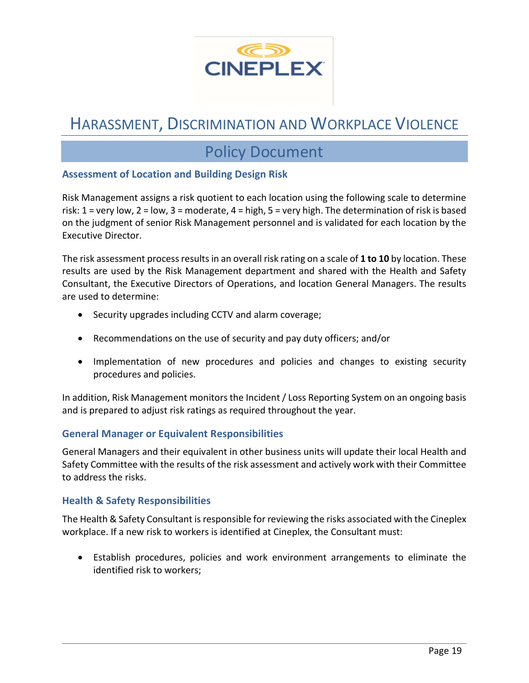

### Policy Document

#### **Assessment of Location and Building Design Risk**

Risk Management assigns a risk quotient to each location using the following scale to determine risk: 1 = very low, 2 = low, 3 = moderate, 4 = high, 5 = very high. The determination of risk is based on the judgment of senior Risk Management personnel and is validated for each location by the Executive Director.

The risk assessment process results in an overall risk rating on a scale of **1 to 10** by location. These results are used by the Risk Management department and shared with the Health and Safety Consultant, the Executive Directors of Operations, and location General Managers. The results are used to determine:

- Security upgrades including CCTV and alarm coverage;
- Recommendations on the use of security and pay duty officers; and/or
- Implementation of new procedures and policies and changes to existing security procedures and policies.

In addition, Risk Management monitors the Incident / Loss Reporting System on an ongoing basis and is prepared to adjust risk ratings as required throughout the year.

#### **General Manager or Equivalent Responsibilities**

General Managers and their equivalent in other business units will update their local Health and Safety Committee with the results of the risk assessment and actively work with their Committee to address the risks.

#### **Health & Safety Responsibilities**

The Health & Safety Consultant is responsible for reviewing the risks associated with the Cineplex workplace. If a new risk to workers is identified at Cineplex, the Consultant must:

• Establish procedures, policies and work environment arrangements to eliminate the identified risk to workers;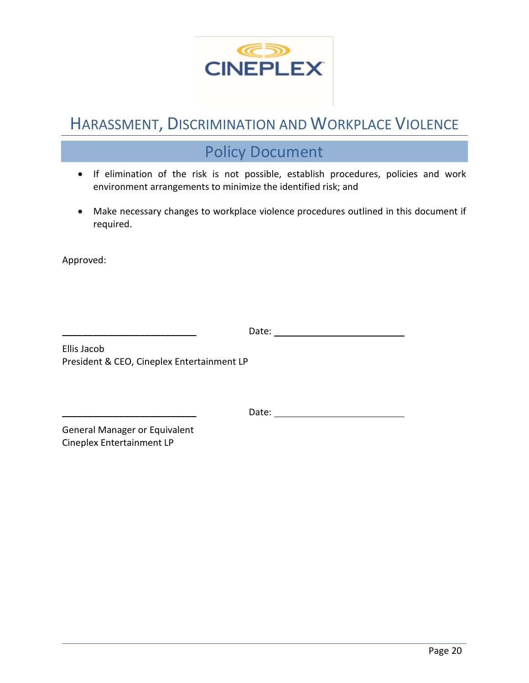

## Policy Document

- If elimination of the risk is not possible, establish procedures, policies and work environment arrangements to minimize the identified risk; and
- Make necessary changes to workplace violence procedures outlined in this document if required.

Approved:

**\_\_\_\_\_\_\_\_\_\_\_\_\_\_\_\_\_\_\_\_\_\_\_\_\_\_** Date:

Ellis Jacob President & CEO, Cineplex Entertainment LP

**\_\_\_\_\_\_\_\_\_\_\_\_\_\_\_\_\_\_\_\_\_\_\_\_\_\_** Date:

General Manager or Equivalent Cineplex Entertainment LP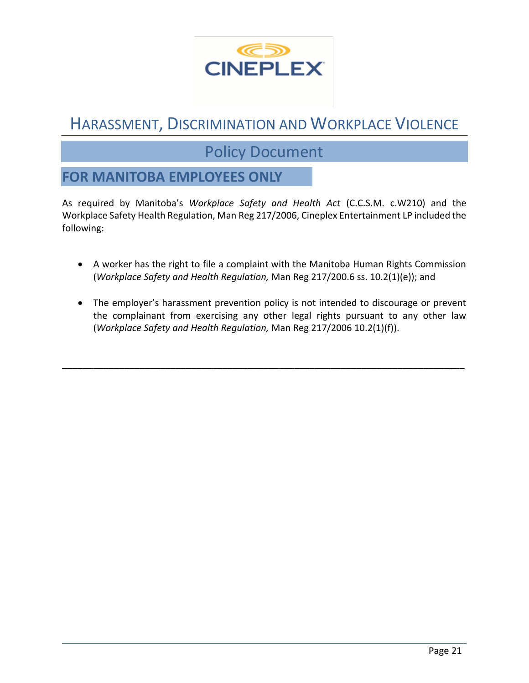

### Policy Document

### **FOR MANITOBA EMPLOYEES ONLY**

As required by Manitoba's *Workplace Safety and Health Act* (C.C.S.M. c.W210) and the Workplace Safety Health Regulation, Man Reg 217/2006, Cineplex Entertainment LP included the following:

- A worker has the right to file a complaint with the Manitoba Human Rights Commission (*Workplace Safety and Health Regulation,* Man Reg 217/200.6 ss. 10.2(1)(e)); and
- The employer's harassment prevention policy is not intended to discourage or prevent the complainant from exercising any other legal rights pursuant to any other law (*Workplace Safety and Health Regulation,* Man Reg 217/2006 10.2(1)(f)).

\_\_\_\_\_\_\_\_\_\_\_\_\_\_\_\_\_\_\_\_\_\_\_\_\_\_\_\_\_\_\_\_\_\_\_\_\_\_\_\_\_\_\_\_\_\_\_\_\_\_\_\_\_\_\_\_\_\_\_\_\_\_\_\_\_\_\_\_\_\_\_\_\_\_\_\_\_\_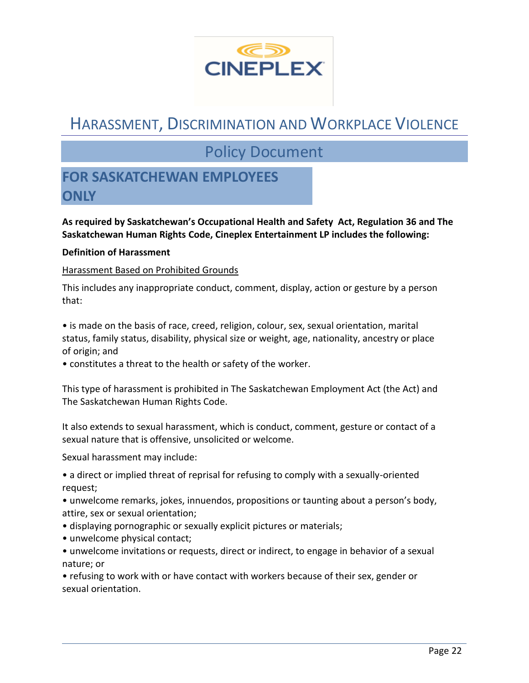

### Policy Document

### **FOR SASKATCHEWAN EMPLOYEES ONLY**

**As required by Saskatchewan's Occupational Health and Safety Act, Regulation 36 and The Saskatchewan Human Rights Code, Cineplex Entertainment LP includes the following:**

#### **Definition of Harassment**

#### Harassment Based on Prohibited Grounds

This includes any inappropriate conduct, comment, display, action or gesture by a person that:

• is made on the basis of race, creed, religion, colour, sex, sexual orientation, marital status, family status, disability, physical size or weight, age, nationality, ancestry or place of origin; and

• constitutes a threat to the health or safety of the worker.

This type of harassment is prohibited in The Saskatchewan Employment Act (the Act) and The Saskatchewan Human Rights Code.

It also extends to sexual harassment, which is conduct, comment, gesture or contact of a sexual nature that is offensive, unsolicited or welcome.

Sexual harassment may include:

• a direct or implied threat of reprisal for refusing to comply with a sexually-oriented request;

• unwelcome remarks, jokes, innuendos, propositions or taunting about a person's body, attire, sex or sexual orientation;

- displaying pornographic or sexually explicit pictures or materials;
- unwelcome physical contact;
- unwelcome invitations or requests, direct or indirect, to engage in behavior of a sexual nature; or

• refusing to work with or have contact with workers because of their sex, gender or sexual orientation.